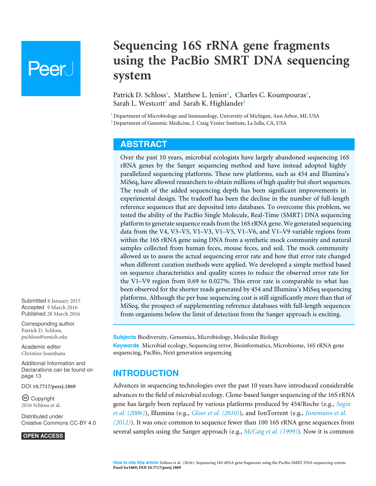# **Peer**

# **Sequencing 16S rRNA gene fragments using the PacBio SMRT DNA sequencing system**

<span id="page-0-6"></span><span id="page-0-5"></span><span id="page-0-4"></span><span id="page-0-3"></span><span id="page-0-2"></span>Patrick D. Schloss<sup>[1](#page-0-0)</sup>, Matthew L. Jenior<sup>1</sup>, Charles C. Koumpouras<sup>1</sup>, Sarah L. Westcott**[1](#page-0-0)** and Sarah K. Highlander**[2](#page-0-1)**

<span id="page-0-0"></span>**<sup>1</sup>** Department of Microbiology and Immunology, University of Michigan, Ann Arbor, MI, USA

<span id="page-0-1"></span>**<sup>2</sup>** Department of Genomic Medicine, J. Craig Venter Institute, La Jolla, CA, USA

#### **ABSTRACT**

Over the past 10 years, microbial ecologists have largely abandoned sequencing 16S rRNA genes by the Sanger sequencing method and have instead adopted highly parallelized sequencing platforms. These new platforms, such as 454 and Illumina's MiSeq, have allowed researchers to obtain millions of high quality but short sequences. The result of the added sequencing depth has been significant improvements in experimental design. The tradeoff has been the decline in the number of full-length reference sequences that are deposited into databases. To overcome this problem, we tested the ability of the PacBio Single Molecule, Real-Time (SMRT) DNA sequencing platform to generate sequence reads from the 16S rRNA gene. We generated sequencing data from the V4, V3–V5, V1–V3, V1–V5, V1–V6, and V1–V9 variable regions from within the 16S rRNA gene using DNA from a synthetic mock community and natural samples collected from human feces, mouse feces, and soil. The mock community allowed us to assess the actual sequencing error rate and how that error rate changed when different curation methods were applied. We developed a simple method based on sequence characteristics and quality scores to reduce the observed error rate for the V1–V9 region from 0.69 to 0.027%. This error rate is comparable to what has been observed for the shorter reads generated by 454 and Illumina's MiSeq sequencing platforms. Although the per base sequencing cost is still significantly more than that of MiSeq, the prospect of supplementing reference databases with full-length sequences from organisms below the limit of detection from the Sanger approach is exciting.

**Subjects** Biodiversity, Genomics, Microbiology, Molecular Biology **Keywords** Microbial ecology, Sequencing error, Bioinformatics, Microbiome, 16S rRNA gene sequencing, PacBio, Next generation sequencing

# **INTRODUCTION**

Advances in sequencing technologies over the past 10 years have introduced considerable advances to the field of microbial ecology. Clone-based Sanger sequencing of the 16S rRNA gene has largely been replaced by various platforms produced by 454/Roche (e.g., *[Sogin](#page-15-0) [et al. \(2006\)](#page-15-0)*), Illumina (e.g., *[Gloor et al. \(2010\)](#page-13-0)*), and IonTorrent (e.g., *[Jünemann et al.](#page-14-0) [\(2012\)](#page-14-0)*). It was once common to sequence fewer than 100 16S rRNA gene sequences from several samples using the Sanger approach (e.g., *[McCaig et al. \(1999\)](#page-14-1)*). Now it is common

Submitted 6 January 2015 Accepted 9 March 2016 Published 28 March 2016

Corresponding author Patrick D. Schloss, [pschloss@umich.edu](mailto:pschloss@umich.edu)

[Academic editor](https://peerj.com/academic-boards/editors/) [Christine Josenhans](https://peerj.com/academic-boards/editors/)

[Additional Information and](#page-12-0) [Declarations can be found on](#page-12-0) [page 13](#page-12-0)

DOI **[10.7717/peerj.1869](http://dx.doi.org/10.7717/peerj.1869)**

Ccopyright 2016 Schloss et al.

[Distributed under](http://creativecommons.org/licenses/by/4.0/) [Creative Commons CC-BY 4.0](http://creativecommons.org/licenses/by/4.0/)

#### **OPEN ACCESS**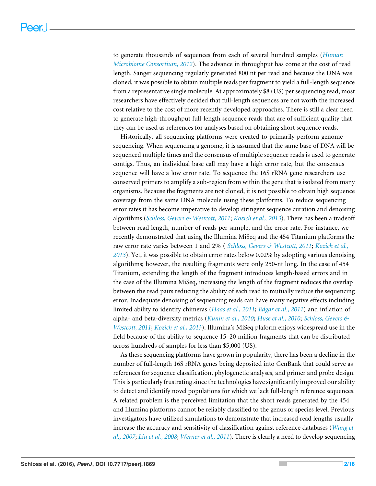to generate thousands of sequences from each of several hundred samples (*[Human](#page-13-1) [Microbiome Consortium, 2012](#page-13-1)*). The advance in throughput has come at the cost of read length. Sanger sequencing regularly generated 800 nt per read and because the DNA was cloned, it was possible to obtain multiple reads per fragment to yield a full-length sequence from a representative single molecule. At approximately \$8 (US) per sequencing read, most researchers have effectively decided that full-length sequences are not worth the increased cost relative to the cost of more recently developed approaches. There is still a clear need to generate high-throughput full-length sequence reads that are of sufficient quality that they can be used as references for analyses based on obtaining short sequence reads.

Historically, all sequencing platforms were created to primarily perform genome sequencing. When sequencing a genome, it is assumed that the same base of DNA will be sequenced multiple times and the consensus of multiple sequence reads is used to generate contigs. Thus, an individual base call may have a high error rate, but the consensus sequence will have a low error rate. To sequence the 16S rRNA gene researchers use conserved primers to amplify a sub-region from within the gene that is isolated from many organisms. Because the fragments are not cloned, it is not possible to obtain high sequence coverage from the same DNA molecule using these platforms. To reduce sequencing error rates it has become imperative to develop stringent sequence curation and denoising algorithms (*[Schloss, Gevers & Westcott, 2011](#page-15-1)*; *[Kozich et al., 2013](#page-14-2)*). There has been a tradeoff between read length, number of reads per sample, and the error rate. For instance, we recently demonstrated that using the Illumina MiSeq and the 454 Titanium platforms the raw error rate varies between 1 and 2% ( *[Schloss, Gevers & Westcott, 2011](#page-15-1)*; *[Kozich et al.,](#page-14-2) [2013](#page-14-2)*). Yet, it was possible to obtain error rates below 0.02% by adopting various denoising algorithms; however, the resulting fragments were only 250-nt long. In the case of 454 Titanium, extending the length of the fragment introduces length-based errors and in the case of the Illumina MiSeq, increasing the length of the fragment reduces the overlap between the read pairs reducing the ability of each read to mutually reduce the sequencing error. Inadequate denoising of sequencing reads can have many negative effects including limited ability to identify chimeras (*[Haas et al., 2011](#page-13-2)*; *[Edgar et al., 2011](#page-13-3)*) and inflation of alpha- and beta-diversity metrics (*[Kunin et al., 2010](#page-14-3)*; *[Huse et al., 2010](#page-14-4)*; *[Schloss, Gevers &](#page-15-1) [Westcott, 2011](#page-15-1)*; *[Kozich et al., 2013](#page-14-2)*). Illumina's MiSeq plaform enjoys widespread use in the field because of the ability to sequence 15–20 million fragments that can be distributed across hundreds of samples for less than \$5,000 (US).

As these sequencing platforms have grown in popularity, there has been a decline in the number of full-length 16S rRNA genes being deposited into GenBank that could serve as references for sequence classification, phylogenetic analyses, and primer and probe design. This is particularly frustrating since the technologies have significantly improved our ability to detect and identify novel populations for which we lack full-length reference sequences. A related problem is the perceived limitation that the short reads generated by the 454 and Illumina platforms cannot be reliably classified to the genus or species level. Previous investigators have utilized simulations to demonstrate that increased read lengths usually increase the accuracy and sensitivity of classification against reference databases (*[Wang et](#page-15-2) [al., 2007](#page-15-2)*; *[Liu et al., 2008](#page-14-5)*; *[Werner et al., 2011](#page-15-3)*). There is clearly a need to develop sequencing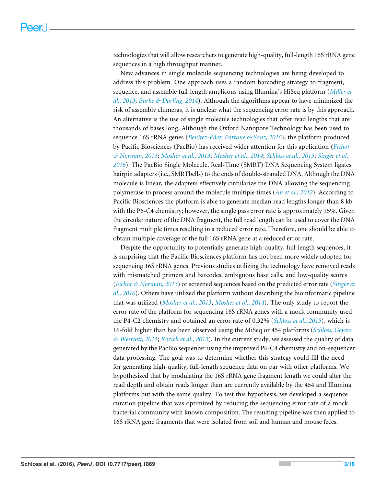technologies that will allow researchers to generate high-quality, full-length 16S rRNA gene sequences in a high throughput manner.

New advances in single molecule sequencing technologies are being developed to address this problem. One approach uses a random barcoding strategy to fragment, sequence, and assemble full-length amplicons using Illumina's HiSeq platform (*[Miller et](#page-14-6) [al., 2013](#page-14-6)*; *[Burke & Darling, 2014](#page-13-4)*). Although the algorithms appear to have minimized the risk of assembly chimeras, it is unclear what the sequencing error rate is by this approach. An alternative is the use of single molecule technologies that offer read lengths that are thousands of bases long. Although the Oxford Nanopore Technology has been used to sequence 16S rRNA genes (*[Benítez-Páez, Portune & Sanz, 2016](#page-13-5)*), the platform produced by Pacific Biosciences (PacBio) has received wider attention for this application (*[Fichot](#page-13-6) [& Norman, 2013](#page-13-6)*; *[Mosher et al., 2013](#page-14-7)*; *[Mosher et al., 2014](#page-14-8)*; *[Schloss et al., 2015](#page-15-4)*; *[Singer et al.,](#page-15-5) [2016](#page-15-5)*). The PacBio Single Molecule, Real-Time (SMRT) DNA Sequencing System ligates hairpin adapters (i.e., SMRTbells) to the ends of double-stranded DNA. Although the DNA molecule is linear, the adapters effectively circularize the DNA allowing the sequencing polymerase to process around the molecule multiple times (*[Au et al., 2012](#page-13-7)*). According to Pacific Biosciences the platform is able to generate median read lengths longer than 8 kb with the P6-C4 chemistry; however, the single pass error rate is approximately 15%. Given the circular nature of the DNA fragment, the full read length can be used to cover the DNA fragment multiple times resulting in a reduced error rate. Therefore, one should be able to obtain multiple coverage of the full 16S rRNA gene at a reduced error rate.

Despite the opportunity to potentially generate high-quality, full-length sequences, it is surprising that the Pacific Biosciences platform has not been more widely adopted for sequencing 16S rRNA genes. Previous studies utilizing the technology have removed reads with mismatched primers and barcodes, ambiguous base calls, and low-quality scores (*[Fichot & Norman, 2013](#page-13-6)*) or screened sequences based on the predicted error rate (*[Singer et](#page-15-5) [al., 2016](#page-15-5)*). Others have utilized the platform without describing the bioinformatic pipeline that was utilized (*[Mosher et al., 2013](#page-14-7)*; *[Mosher et al., 2014](#page-14-8)*). The only study to report the error rate of the platform for sequencing 16S rRNA genes with a mock community used the P4-C2 chemistry and obtained an error rate of 0.32% (*[Schloss et al., 2015](#page-15-4)*), which is 16-fold higher than has been observed using the MiSeq or 454 platforms (*[Schloss, Gevers](#page-15-1) [& Westcott, 2011](#page-15-1)*; *[Kozich et al., 2013](#page-14-2)*). In the current study, we assessed the quality of data generated by the PacBio sequencer using the improved P6-C4 chemistry and on-sequencer data processing. The goal was to determine whether this strategy could fill the need for generating high-quality, full-length sequence data on par with other platforms. We hypothesized that by modulating the 16S rRNA gene fragment length we could alter the read depth and obtain reads longer than are currently available by the 454 and Illumina platforms but with the same quality. To test this hypothesis, we developed a sequence curation pipeline that was optimized by reducing the sequencing error rate of a mock bacterial community with known composition. The resulting pipeline was then applied to 16S rRNA gene fragments that were isolated from soil and human and mouse feces.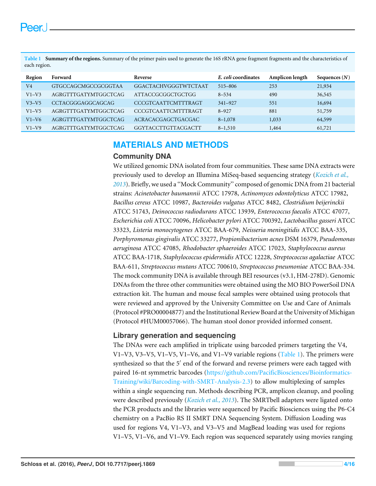<span id="page-3-0"></span>**Table 1 Summary of the regions.** Summary of the primer pairs used to generate the 16S rRNA gene fragment fragments and the characteristics of each region.

| Region  | Forward                  | Reverse                    | E. coli coordinates | Amplicon length | Sequences $(N)$ |
|---------|--------------------------|----------------------------|---------------------|-----------------|-----------------|
| V4      | GTGCCAGCMGCCGCGGTAA      | GGACTACHVGGGTWTCTAAT       | 515-806             | 253             | 21,934          |
| $V1-V3$ | AGRGTTTGATYMTGGCTCAG     | <b>ATTACCGCGGCTGCTGG</b>   | $8 - 534$           | 490             | 36,545          |
| $V3-V5$ | <b>CCTACGGGAGGCAGCAG</b> | <b>CCCGTCAATTCMTTTRAGT</b> | $341 - 927$         | 551             | 16,694          |
| $V1-V5$ | AGRGTTTGATYMTGGCTCAG     | <b>CCCGTCAATTCMTTTRAGT</b> | $8 - 927$           | 881             | 51,759          |
| $V1-V6$ | AGRGTTTGATYMTGGCTCAG     | ACRACACGAGCTGACGAC         | $8 - 1,078$         | 1,033           | 64,599          |
| $V1-V9$ | AGRGTTTGATYMTGGCTCAG     | <b>GGYTACCTTGTTACGACTT</b> | $8 - 1,510$         | 1,464           | 61,721          |

## **MATERIALS AND METHODS**

#### **Community DNA**

We utilized genomic DNA isolated from four communities. These same DNA extracts were previously used to develop an Illumina MiSeq-based sequencing strategy (*[Kozich et al.,](#page-14-2) [2013](#page-14-2)*). Briefly, we used a ''Mock Community'' composed of genomic DNA from 21 bacterial strains: *Acinetobacter baumannii* ATCC 17978, *Actinomyces odontolyticus* ATCC 17982, *Bacillus cereus* ATCC 10987, *Bacteroides vulgatus* ATCC 8482, *Clostridium beijerinckii* ATCC 51743, *Deinococcus radiodurans* ATCC 13939, *Enterococcus faecalis* ATCC 47077, *Escherichia coli* ATCC 70096, *Helicobacter pylori* ATCC 700392, *Lactobacillus gasseri* ATCC 33323, *Listeria monocytogenes* ATCC BAA-679, *Neisseria meningitidis* ATCC BAA-335, *Porphyromonas gingivalis* ATCC 33277, *Propionibacterium acnes* DSM 16379, *Pseudomonas aeruginosa* ATCC 47085, *Rhodobacter sphaeroides* ATCC 17023, *Staphylococcus aureus* ATCC BAA-1718, *Staphylococcus epidermidis* ATCC 12228, *Streptococcus agalactiae* ATCC BAA-611, *Streptococcus mutans* ATCC 700610, *Streptococcus pneumoniae* ATCC BAA-334. The mock community DNA is available through BEI resources (v3.1, HM-278D). Genomic DNAs from the three other communities were obtained using the MO BIO PowerSoil DNA extraction kit. The human and mouse fecal samples were obtained using protocols that were reviewed and approved by the University Committee on Use and Care of Animals (Protocol #PRO00004877) and the Institutional Review Board at the University of Michigan (Protocol #HUM00057066). The human stool donor provided informed consent.

#### **Library generation and sequencing**

The DNAs were each amplified in triplicate using barcoded primers targeting the V4, V1–V3, V3–V5, V1–V5, V1–V6, and V1–V9 variable regions [\(Table 1\)](#page-3-0). The primers were synthesized so that the 5' end of the forward and reverse primers were each tagged with paired 16-nt symmetric barcodes [\(https://github.com/PacificBiosciences/Bioinformatics-](https://github.com/PacificBiosciences/Bioinformatics-Training/wiki/Barcoding-with-SMRT-Analysis-2.3)[Training/wiki/Barcoding-with-SMRT-Analysis-2.3\)](https://github.com/PacificBiosciences/Bioinformatics-Training/wiki/Barcoding-with-SMRT-Analysis-2.3) to allow multiplexing of samples within a single sequencing run. Methods describing PCR, amplicon cleanup, and pooling were described previously (*[Kozich et al., 2013](#page-14-2)*). The SMRTbell adapters were ligated onto the PCR products and the libraries were sequenced by Pacific Biosciences using the P6-C4 chemistry on a PacBio RS II SMRT DNA Sequencing System. Diffusion Loading was used for regions V4, V1–V3, and V3–V5 and MagBead loading was used for regions V1–V5, V1–V6, and V1–V9. Each region was sequenced separately using movies ranging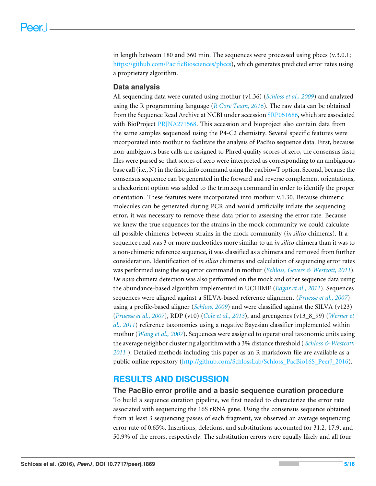in length between 180 and 360 min. The sequences were processed using pbccs (v.3.0.1; [https://github.com/PacificBiosciences/pbccs\)](https://github.com/PacificBiosciences/pbccs), which generates predicted error rates using a proprietary algorithm.

#### **Data analysis**

All sequencing data were curated using mothur (v1.36) (*[Schloss et al., 2009](#page-15-6)*) and analyzed using the R programming language (*[R Core Team, 2016](#page-14-9)*). The raw data can be obtained from the Sequence Read Archive at NCBI under accession [SRP051686,](https://www.ncbi.nlm.nih.gov/sra?term=SRP051686) which are associated with BioProject [PRJNA271568.](http://www.ncbi.nlm.nih.gov/bioproject/?term=PRJNA271568) This accession and bioproject also contain data from the same samples sequenced using the P4-C2 chemistry. Several specific features were incorporated into mothur to facilitate the analysis of PacBio sequence data. First, because non-ambiguous base calls are assigned to Phred quality scores of zero, the consensus fastq files were parsed so that scores of zero were interpreted as corresponding to an ambiguous base call (i.e., N) in the fastq.info command using the pacbio=T option. Second, because the consensus sequence can be generated in the forward and reverse complement orientations, a checkorient option was added to the trim.seqs command in order to identify the proper orientation. These features were incorporated into mothur v.1.30. Because chimeric molecules can be generated during PCR and would artificially inflate the sequencing error, it was necessary to remove these data prior to assessing the error rate. Because we knew the true sequences for the strains in the mock community we could calculate all possible chimeras between strains in the mock community (*in silico* chimeras). If a sequence read was 3 or more nucleotides more similar to an *in silico* chimera than it was to a non-chimeric reference sequence, it was classified as a chimera and removed from further consideration. Identification of *in silico* chimeras and calculation of sequencing error rates was performed using the seq.error command in mothur (*[Schloss, Gevers & Westcott, 2011](#page-15-1)*). *De novo* chimera detection was also performed on the mock and other sequence data using the abundance-based algorithm implemented in UCHIME (*[Edgar et al., 2011](#page-13-3)*). Sequences sequences were aligned against a SILVA-based reference alignment (*[Pruesse et al., 2007](#page-14-10)*) using a profile-based aligner (*[Schloss, 2009](#page-14-11)*) and were classified against the SILVA (v123) (*[Pruesse et al., 2007](#page-14-10)*), RDP (v10) (*[Cole et al., 2013](#page-13-8)*), and greengenes (v13\_8\_99) (*[Werner et](#page-15-3) [al., 2011](#page-15-3)*) reference taxonomies using a negative Bayesian classifier implemented within mothur (*[Wang et al., 2007](#page-15-2)*). Sequences were assigned to operational taxonomic units using the average neighbor clustering algorithm with a 3% distance threshold ( *[Schloss & Westcott,](#page-15-7) [2011](#page-15-7)* ). Detailed methods including this paper as an R markdown file are available as a public online repository [\(http://github.com/SchlossLab/Schloss\\_PacBio16S\\_PeerJ\\_2016\)](http://github.com/SchlossLab/Schloss_PacBio16S_PeerJ_2016).

#### **RESULTS AND DISCUSSION**

#### **The PacBio error profile and a basic sequence curation procedure**

To build a sequence curation pipeline, we first needed to characterize the error rate associated with sequencing the 16S rRNA gene. Using the consensus sequence obtained from at least 3 sequencing passes of each fragment, we observed an average sequencing error rate of 0.65%. Insertions, deletions, and substitutions accounted for 31.2, 17.9, and 50.9% of the errors, respectively. The substitution errors were equally likely and all four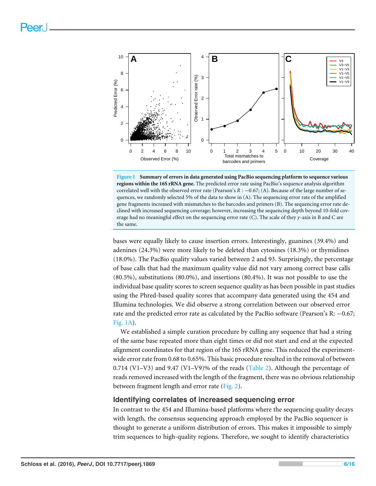<span id="page-5-0"></span>

**Figure 1 Summary of errors in data generated using PacBio sequencing platform to sequence various regions within the 16S rRNA gene.** The predicted error rate using PacBio's sequence analysis algorithm correlated well with the observed error rate (Pearson's *R* : −0.67; (A). Because of the large number of sequences, we randomly selected 5% of the data to show in (A). The sequencing error rate of the amplified gene fragments increased with mismatches to the barcodes and primers (B). The sequencing error rate declined with increased sequencing coverage; however, increasing the sequencing depth beyond 10-fold coverage had no meaningful effect on the sequencing error rate (C). The scale of they *y*-axis in B and C are the same.

bases were equally likely to cause insertion errors. Interestingly, guanines (39.4%) and adenines (24.3%) were more likely to be deleted than cytosines (18.3%) or thymidines (18.0%). The PacBio quality values varied between 2 and 93. Surprisingly, the percentage of base calls that had the maximum quality value did not vary among correct base calls (80.5%), substitutions (80.0%), and insertions (80.4%). It was not possible to use the individual base quality scores to screen sequence quality as has been possible in past studies using the Phred-based quality scores that accompany data generated using the 454 and Illumina technologies. We did observe a strong correlation between our observed error rate and the predicted error rate as calculated by the PacBio software (Pearson's R: −0.67; [Fig. 1A\)](#page-5-0).

We established a simple curation procedure by culling any sequence that had a string of the same base repeated more than eight times or did not start and end at the expected alignment coordinates for that region of the 16S rRNA gene. This reduced the experimentwide error rate from 0.68 to 0.65%. This basic procedure resulted in the removal of between 0.714 (V1–V3) and 9.47 (V1–V9)% of the reads [\(Table 2\)](#page-6-0). Although the percentage of reads removed increased with the length of the fragment, there was no obvious relationship between fragment length and error rate [\(Fig. 2\)](#page-6-1).

#### **Identifying correlates of increased sequencing error**

In contrast to the 454 and Illumina-based platforms where the sequencing quality decays with length, the consensus sequencing approach employed by the PacBio sequencer is thought to generate a uniform distribution of errors. This makes it impossible to simply trim sequences to high-quality regions. Therefore, we sought to identify characteristics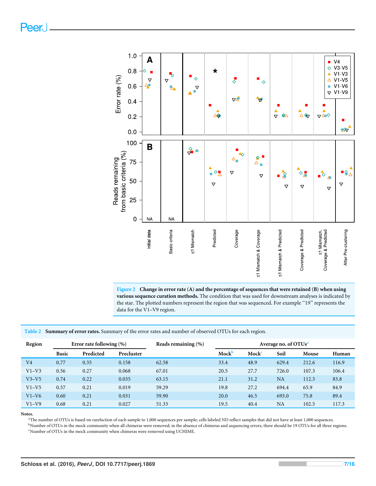Peer.

<span id="page-6-1"></span>

**Figure 2 Change in error rate (A) and the percentage of sequences that were retained (B) when using various sequence curation methods.** The condition that was used for downstream analyses is indicated by the star. The plotted numbers represent the region that was sequenced. For example ''19'' represents the data for the V1–V9 region.

<span id="page-6-0"></span>**Table 2 Summary of error rates.** Summary of the error rates and number of observed OTUs for each region.

| Region         | Error rate following $(\% )$ |           | Reads remaining $(\% )$ | Average no. of OTUs <sup>a</sup> |       |                   |           |       |       |
|----------------|------------------------------|-----------|-------------------------|----------------------------------|-------|-------------------|-----------|-------|-------|
|                | <b>Basic</b>                 | Predicted | Precluster              |                                  | Mockb | Mock <sup>c</sup> | Soil      | Mouse | Human |
| V <sub>4</sub> | 0.77                         | 0.35      | 0.158                   | 62.58                            | 33.4  | 48.9              | 629.4     | 212.6 | 116.9 |
| $V1-V3$        | 0.56                         | 0.27      | 0.068                   | 67.01                            | 20.5  | 27.7              | 726.0     | 107.3 | 106.4 |
| $V3-V5$        | 0.74                         | 0.22      | 0.035                   | 63.15                            | 21.1  | 31.2              | <b>NA</b> | 112.3 | 83.8  |
| $V1-V5$        | 0.57                         | 0.21      | 0.019                   | 59.29                            | 19.8  | 27.2              | 694.4     | 65.9  | 84.9  |
| $V1-V6$        | 0.60                         | 0.21      | 0.031                   | 59.90                            | 20.0  | 46.5              | 693.0     | 75.8  | 89.4  |
| $V1-V9$        | 0.68                         | 0.21      | 0.027                   | 51.33                            | 19.5  | 40.4              | NA        | 102.5 | 117.3 |

<span id="page-6-2"></span>**Notes.**

<sup>a</sup>The number of OTUs is based on rarefaction of each sample to 1,000 sequences per sample; cells labeled ND reflect samples that did not have at least 1,000 sequences.

<span id="page-6-4"></span><span id="page-6-3"></span><sup>b</sup>Number of OTUs in the mock community when all chimeras were removed; in the absence of chimeras and sequencing errors, there should be 19 OTUs for all three regions.  $\,^{\mathrm{c}}\text{Number}$  of OTUs in the mock community when chimeras were removed using UCHIME.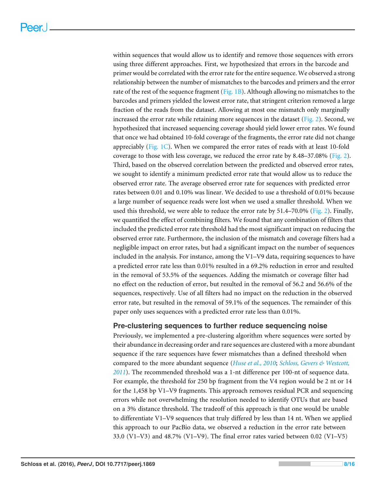within sequences that would allow us to identify and remove those sequences with errors using three different approaches. First, we hypothesized that errors in the barcode and primer would be correlated with the error rate for the entire sequence. We observed a strong relationship between the number of mismatches to the barcodes and primers and the error rate of the rest of the sequence fragment [\(Fig. 1B\)](#page-5-0). Although allowing no mismatches to the barcodes and primers yielded the lowest error rate, that stringent criterion removed a large fraction of the reads from the dataset. Allowing at most one mismatch only marginally increased the error rate while retaining more sequences in the dataset  $(Fig, 2)$ . Second, we hypothesized that increased sequencing coverage should yield lower error rates. We found that once we had obtained 10-fold coverage of the fragments, the error rate did not change appreciably [\(Fig. 1C\)](#page-5-0). When we compared the error rates of reads with at least 10-fold coverage to those with less coverage, we reduced the error rate by  $8.48-37.08\%$  [\(Fig. 2\)](#page-6-1). Third, based on the observed correlation between the predicted and observed error rates, we sought to identify a minimum predicted error rate that would allow us to reduce the observed error rate. The average observed error rate for sequences with predicted error rates between 0.01 and 0.10% was linear. We decided to use a threshold of 0.01% because a large number of sequence reads were lost when we used a smaller threshold. When we used this threshold, we were able to reduce the error rate by 51.4–70.0% [\(Fig. 2\)](#page-6-1). Finally, we quantified the effect of combining filters. We found that any combination of filters that included the predicted error rate threshold had the most significant impact on reducing the observed error rate. Furthermore, the inclusion of the mismatch and coverage filters had a negligible impact on error rates, but had a significant impact on the number of sequences included in the analysis. For instance, among the V1–V9 data, requiring sequences to have a predicted error rate less than 0.01% resulted in a 69.2% reduction in error and resulted in the removal of 53.5% of the sequences. Adding the mismatch or coverage filter had no effect on the reduction of error, but resulted in the removal of 56.2 and 56.6% of the sequences, respectively. Use of all filters had no impact on the reduction in the observed error rate, but resulted in the removal of 59.1% of the sequences. The remainder of this paper only uses sequences with a predicted error rate less than 0.01%.

#### **Pre-clustering sequences to further reduce sequencing noise**

Previously, we implemented a pre-clustering algorithm where sequences were sorted by their abundance in decreasing order and rare sequences are clustered with a more abundant sequence if the rare sequences have fewer mismatches than a defined threshold when compared to the more abundant sequence (*[Huse et al., 2010](#page-14-4)*; *[Schloss, Gevers & Westcott,](#page-15-1) [2011](#page-15-1)*). The recommended threshold was a 1-nt difference per 100-nt of sequence data. For example, the threshold for 250 bp fragment from the V4 region would be 2 nt or 14 for the 1,458 bp V1–V9 fragments. This approach removes residual PCR and sequencing errors while not overwhelming the resolution needed to identify OTUs that are based on a 3% distance threshold. The tradeoff of this approach is that one would be unable to differentiate V1–V9 sequences that truly differed by less than 14 nt. When we applied this approach to our PacBio data, we observed a reduction in the error rate between 33.0 (V1–V3) and 48.7% (V1–V9). The final error rates varied between 0.02 (V1–V5)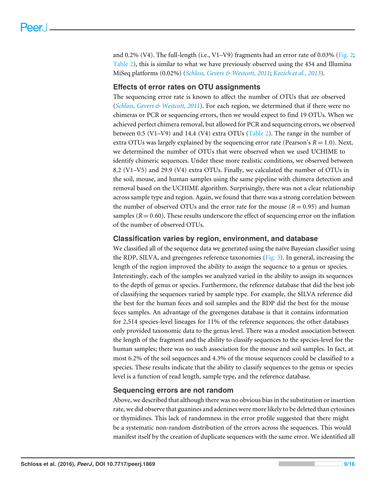and 0.2% (V4). The full-length (i.e., V1–V9) fragments had an error rate of 0.03% [\(Fig. 2;](#page-6-1) [Table 2\)](#page-6-0), this is similar to what we have previously observed using the 454 and Illumina MiSeq platforms (0.02%) (*[Schloss, Gevers & Westcott, 2011](#page-15-1)*; *[Kozich et al., 2013](#page-14-2)*).

#### **Effects of error rates on OTU assignments**

The sequencing error rate is known to affect the number of OTUs that are observed (*[Schloss, Gevers & Westcott, 2011](#page-15-1)*). For each region, we determined that if there were no chimeras or PCR or sequencing errors, then we would expect to find 19 OTUs. When we achieved perfect chimera removal, but allowed for PCR and sequencing errors, we observed between 0.5 (V1–V9) and 14.4 (V4) extra OTUs [\(Table 2\)](#page-6-0). The range in the number of extra OTUs was largely explained by the sequencing error rate (Pearson's  $R = 1.0$ ). Next, we determined the number of OTUs that were observed when we used UCHIME to identify chimeric sequences. Under these more realistic conditions, we observed between 8.2 (V1–V5) and 29.9 (V4) extra OTUs. Finally, we calculated the number of OTUs in the soil, mouse, and human samples using the same pipeline with chimera detection and removal based on the UCHIME algorithm. Surprisingly, there was not a clear relationship across sample type and region. Again, we found that there was a strong correlation between the number of observed OTUs and the error rate for the mouse  $(R = 0.95)$  and human samples  $(R = 0.60)$ . These results underscore the effect of sequencing error on the inflation of the number of observed OTUs.

#### **Classification varies by region, environment, and database**

We classified all of the sequence data we generated using the naïve Bayesian classifier using the RDP, SILVA, and greengenes reference taxonomies ( $Fig. 3$ ). In general, increasing the length of the region improved the ability to assign the sequence to a genus or species. Interestingly, each of the samples we analyzed varied in the ability to assign its sequences to the depth of genus or species. Furthermore, the reference database that did the best job of classifying the sequences varied by sample type. For example, the SILVA reference did the best for the human feces and soil samples and the RDP did the best for the mouse feces samples. An advantage of the greengenes database is that it contains information for 2,514 species-level lineages for 11% of the reference sequences; the other databases only provided taxonomic data to the genus level. There was a modest association between the length of the fragment and the ability to classify sequences to the species-level for the human samples; there was no such association for the mouse and soil samples. In fact, at most 6.2% of the soil sequences and 4.3% of the mouse sequences could be classified to a species. These results indicate that the ability to classify sequences to the genus or species level is a function of read length, sample type, and the reference database.

#### **Sequencing errors are not random**

Above, we described that although there was no obvious bias in the substitution or insertion rate, we did observe that guanines and adenines were more likely to be deleted than cytosines or thymidines. This lack of randomness in the error profile suggested that there might be a systematic non-random distribution of the errors across the sequences. This would manifest itself by the creation of duplicate sequences with the same error. We identified all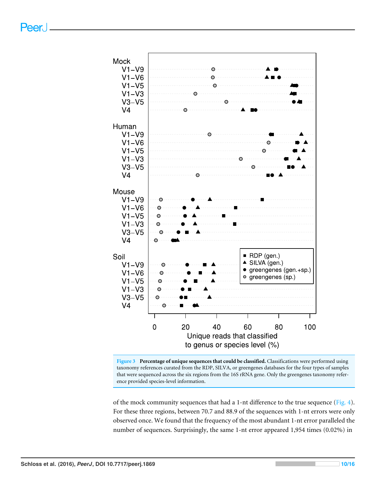<span id="page-9-0"></span>



of the mock community sequences that had a 1-nt difference to the true sequence [\(Fig. 4\)](#page-10-0). For these three regions, between 70.7 and 88.9 of the sequences with 1-nt errors were only observed once. We found that the frequency of the most abundant 1-nt error paralleled the number of sequences. Surprisingly, the same 1-nt error appeared 1,954 times (0.02%) in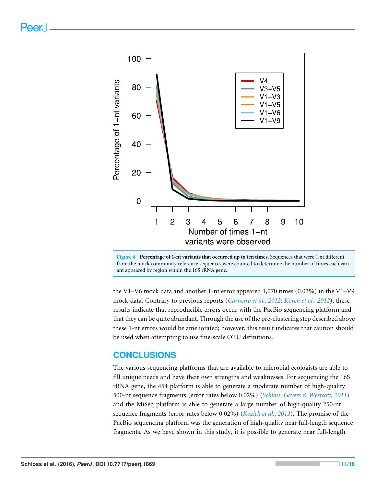<span id="page-10-0"></span>



the V1–V6 mock data and another 1-nt error appeared 1,070 times (0.03%) in the V1–V9 mock data. Contrary to previous reports (*[Carneiro et al., 2012](#page-13-9)*; *[Koren et al., 2012](#page-14-12)*), these results indicate that reproducible errors occur with the PacBio sequencing platform and that they can be quite abundant. Through the use of the pre-clustering step described above these 1-nt errors would be ameliorated; however, this result indicates that caution should be used when attempting to use fine-scale OTU definitions.

#### **CONCLUSIONS**

The various sequencing platforms that are available to microbial ecologists are able to fill unique needs and have their own strengths and weaknesses. For sequencing the 16S rRNA gene, the 454 platform is able to generate a moderate number of high-quality 500-nt sequence fragments (error rates below 0.02%) (*[Schloss, Gevers & Westcott, 2011](#page-15-1)*) and the MiSeq platform is able to generate a large number of high-quality 250-nt sequence fragments (error rates below 0.02%) (*[Kozich et al., 2013](#page-14-2)*). The promise of the PacBio sequencing platform was the generation of high-quality near full-length sequence fragments. As we have shown in this study, it is possible to generate near full-length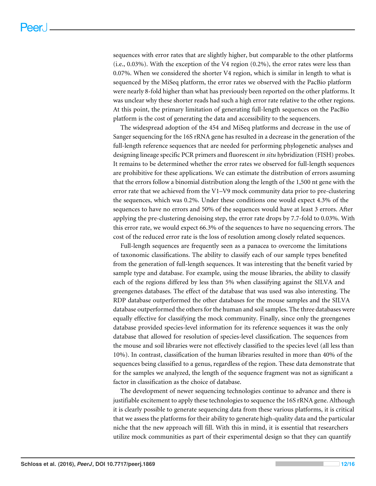sequences with error rates that are slightly higher, but comparable to the other platforms (i.e., 0.03%). With the exception of the V4 region (0.2%), the error rates were less than 0.07%. When we considered the shorter V4 region, which is similar in length to what is sequenced by the MiSeq platform, the error rates we observed with the PacBio platform were nearly 8-fold higher than what has previously been reported on the other platforms. It was unclear why these shorter reads had such a high error rate relative to the other regions. At this point, the primary limitation of generating full-length sequences on the PacBio platform is the cost of generating the data and accessibility to the sequencers.

The widespread adoption of the 454 and MiSeq platforms and decrease in the use of Sanger sequencing for the 16S rRNA gene has resulted in a decrease in the generation of the full-length reference sequences that are needed for performing phylogenetic analyses and designing lineage specific PCR primers and fluorescent *in situ* hybridization (FISH) probes. It remains to be determined whether the error rates we observed for full-length sequences are prohibitive for these applications. We can estimate the distribution of errors assuming that the errors follow a binomial distribution along the length of the 1,500 nt gene with the error rate that we achieved from the V1–V9 mock community data prior to pre-clustering the sequences, which was 0.2%. Under these conditions one would expect 4.3% of the sequences to have no errors and 50% of the sequences would have at least 3 errors. After applying the pre-clustering denoising step, the error rate drops by 7.7-fold to 0.03%. With this error rate, we would expect 66.3% of the sequences to have no sequencing errors. The cost of the reduced error rate is the loss of resolution among closely related sequences.

Full-length sequences are frequently seen as a panacea to overcome the limitations of taxonomic classifications. The ability to classify each of our sample types benefited from the generation of full-length sequences. It was interesting that the benefit varied by sample type and database. For example, using the mouse libraries, the ability to classify each of the regions differed by less than 5% when classifying against the SILVA and greengenes databases. The effect of the database that was used was also interesting. The RDP database outperformed the other databases for the mouse samples and the SILVA database outperformed the others for the human and soil samples. The three databases were equally effective for classifying the mock community. Finally, since only the greengenes database provided species-level information for its reference sequences it was the only database that allowed for resolution of species-level classification. The sequences from the mouse and soil libraries were not effectively classified to the species level (all less than 10%). In contrast, classification of the human libraries resulted in more than 40% of the sequences being classified to a genus, regardless of the region. These data demonstrate that for the samples we analyzed, the length of the sequence fragment was not as significant a factor in classification as the choice of database.

The development of newer sequencing technologies continue to advance and there is justifiable excitement to apply these technologies to sequence the 16S rRNA gene. Although it is clearly possible to generate sequencing data from these various platforms, it is critical that we assess the platforms for their ability to generate high-quality data and the particular niche that the new approach will fill. With this in mind, it is essential that researchers utilize mock communities as part of their experimental design so that they can quantify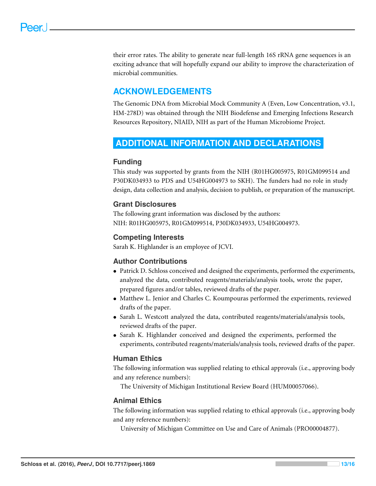their error rates. The ability to generate near full-length 16S rRNA gene sequences is an exciting advance that will hopefully expand our ability to improve the characterization of microbial communities.

# **ACKNOWLEDGEMENTS**

The Genomic DNA from Microbial Mock Community A (Even, Low Concentration, v3.1, HM-278D) was obtained through the NIH Biodefense and Emerging Infections Research Resources Repository, NIAID, NIH as part of the Human Microbiome Project.

## <span id="page-12-0"></span>**ADDITIONAL INFORMATION AND DECLARATIONS**

#### **Funding**

This study was supported by grants from the NIH (R01HG005975, R01GM099514 and P30DK034933 to PDS and U54HG004973 to SKH). The funders had no role in study design, data collection and analysis, decision to publish, or preparation of the manuscript.

#### **Grant Disclosures**

The following grant information was disclosed by the authors: NIH: R01HG005975, R01GM099514, P30DK034933, U54HG004973.

#### **Competing Interests**

Sarah K. Highlander is an employee of JCVI.

#### **Author Contributions**

- [Patrick D. Schloss](#page-0-2) conceived and designed the experiments, performed the experiments, analyzed the data, contributed reagents/materials/analysis tools, wrote the paper, prepared figures and/or tables, reviewed drafts of the paper.
- [Matthew L. Jenior](#page-0-3) and [Charles C. Koumpouras](#page-0-4) performed the experiments, reviewed drafts of the paper.
- [Sarah L. Westcott](#page-0-5) analyzed the data, contributed reagents/materials/analysis tools, reviewed drafts of the paper.
- [Sarah K. Highlander](#page-0-6) conceived and designed the experiments, performed the experiments, contributed reagents/materials/analysis tools, reviewed drafts of the paper.

#### **Human Ethics**

The following information was supplied relating to ethical approvals (i.e., approving body and any reference numbers):

The University of Michigan Institutional Review Board (HUM00057066).

#### **Animal Ethics**

The following information was supplied relating to ethical approvals (i.e., approving body and any reference numbers):

University of Michigan Committee on Use and Care of Animals (PRO00004877).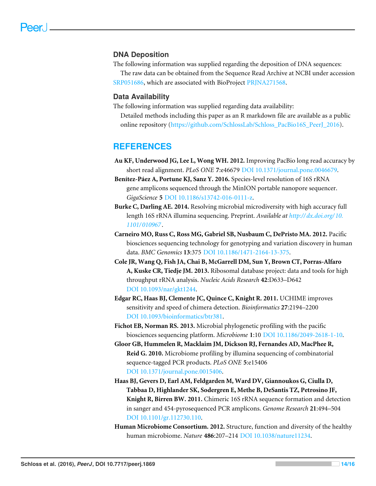#### **DNA Deposition**

The following information was supplied regarding the deposition of DNA sequences:

The raw data can be obtained from the Sequence Read Archive at NCBI under accession [SRP051686,](https://www.ncbi.nlm.nih.gov/sra?term=SRP051686) which are associated with BioProject [PRJNA271568.](http://www.ncbi.nlm.nih.gov/bioproject/?term=PRJNA271568)

#### **Data Availability**

The following information was supplied regarding data availability:

Detailed methods including this paper as an R markdown file are available as a public online repository [\(https://github.com/SchlossLab/Schloss\\_PacBio16S\\_PeerJ\\_2016\)](https://github.com/SchlossLab/Schloss_PacBio16S_PeerJ_2016).

#### **REFERENCES**

<span id="page-13-7"></span>**Au KF, Underwood JG, Lee L, Wong WH. 2012.** Improving PacBio long read accuracy by short read alignment. *PLoS ONE* **7**:e46679 [DOI 10.1371/journal.pone.0046679.](http://dx.doi.org/10.1371/journal.pone.0046679)

<span id="page-13-5"></span>**Benítez-Páez A, Portune KJ, Sanz Y. 2016.** Species-level resolution of 16S rRNA gene amplicons sequenced through the MinION portable nanopore sequencer. *GigaScience* **5** [DOI 10.1186/s13742-016-0111-z.](http://dx.doi.org/10.1186/s13742-016-0111-z)

- <span id="page-13-4"></span>**Burke C, Darling AE. 2014.** Resolving microbial microdiversity with high accuracy full length 16S rRNA illumina sequencing. Preprint. *Available at [http://dx.doi.org/ 10.](http://dx.doi.org/10.1101/010967) [1101/ 010967](http://dx.doi.org/10.1101/010967)*.
- <span id="page-13-9"></span>**Carneiro MO, Russ C, Ross MG, Gabriel SB, Nusbaum C, DePristo MA. 2012.** Pacific biosciences sequencing technology for genotyping and variation discovery in human data. *BMC Genomics* **13**:375 [DOI 10.1186/1471-2164-13-375.](http://dx.doi.org/10.1186/1471-2164-13-375)
- <span id="page-13-8"></span>**Cole JR, Wang Q, Fish JA, Chai B, McGarrell DM, Sun Y, Brown CT, Porras-Alfaro A, Kuske CR, Tiedje JM. 2013.** Ribosomal database project: data and tools for high throughput rRNA analysis. *Nucleic Acids Research* **42**:D633–D642 [DOI 10.1093/nar/gkt1244.](http://dx.doi.org/10.1093/nar/gkt1244)
- <span id="page-13-3"></span>**Edgar RC, Haas BJ, Clemente JC, Quince C, Knight R. 2011.** UCHIME improves sensitivity and speed of chimera detection. *Bioinformatics* **27**:2194–2200 [DOI 10.1093/bioinformatics/btr381.](http://dx.doi.org/10.1093/bioinformatics/btr381)
- <span id="page-13-6"></span>**Fichot EB, Norman RS. 2013.** Microbial phylogenetic profiling with the pacific biosciences sequencing platform. *Microbiome* **1**:10 [DOI 10.1186/2049-2618-1-10.](http://dx.doi.org/10.1186/2049-2618-1-10)
- <span id="page-13-0"></span>**Gloor GB, Hummelen R, Macklaim JM, Dickson RJ, Fernandes AD, MacPhee R, Reid G. 2010.** Microbiome profiling by illumina sequencing of combinatorial sequence-tagged PCR products. *PLoS ONE* **5**:e15406 [DOI 10.1371/journal.pone.0015406.](http://dx.doi.org/10.1371/journal.pone.0015406)
- <span id="page-13-2"></span>**Haas BJ, Gevers D, Earl AM, Feldgarden M, Ward DV, Giannoukos G, Ciulla D, Tabbaa D, Highlander SK, Sodergren E, Methe B, DeSantis TZ, Petrosino JF, Knight R, Birren BW. 2011.** Chimeric 16S rRNA sequence formation and detection in sanger and 454-pyrosequenced PCR amplicons. *Genome Research* **21**:494–504 [DOI 10.1101/gr.112730.110.](http://dx.doi.org/10.1101/gr.112730.110)
- <span id="page-13-1"></span>**Human Microbiome Consortium. 2012.** Structure, function and diversity of the healthy human microbiome. *Nature* **486**:207–214 [DOI 10.1038/nature11234.](http://dx.doi.org/10.1038/nature11234)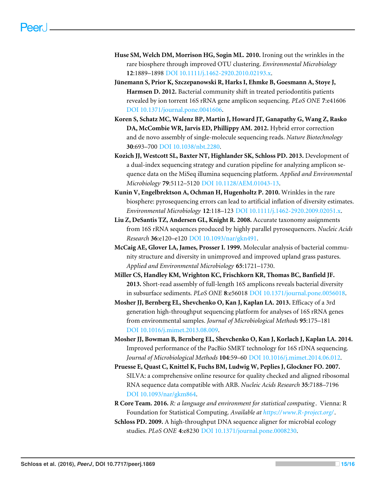- <span id="page-14-4"></span>**Huse SM, Welch DM, Morrison HG, Sogin ML. 2010.** Ironing out the wrinkles in the rare biosphere through improved OTU clustering. *Environmental Microbiology* **12**:1889–1898 [DOI 10.1111/j.1462-2920.2010.02193.x.](http://dx.doi.org/10.1111/j.1462-2920.2010.02193.x)
- <span id="page-14-0"></span>**Jünemann S, Prior K, Szczepanowski R, Harks I, Ehmke B, Goesmann A, Stoye J, Harmsen D. 2012.** Bacterial community shift in treated periodontitis patients revealed by ion torrent 16S rRNA gene amplicon sequencing. *PLoS ONE* **7**:e41606 [DOI 10.1371/journal.pone.0041606.](http://dx.doi.org/10.1371/journal.pone.0041606)
- <span id="page-14-12"></span>**Koren S, Schatz MC, Walenz BP, Martin J, Howard JT, Ganapathy G, Wang Z, Rasko DA, McCombie WR, Jarvis ED, Phillippy AM. 2012.** Hybrid error correction and de novo assembly of single-molecule sequencing reads. *Nature Biotechnology* **30**:693–700 [DOI 10.1038/nbt.2280.](http://dx.doi.org/10.1038/nbt.2280)
- <span id="page-14-2"></span>**Kozich JJ, Westcott SL, Baxter NT, Highlander SK, Schloss PD. 2013.** Development of a dual-index sequencing strategy and curation pipeline for analyzing amplicon sequence data on the MiSeq illumina sequencing platform. *Applied and Environmental Microbiology* **79**:5112–5120 [DOI 10.1128/AEM.01043-13.](http://dx.doi.org/10.1128/AEM.01043-13)
- <span id="page-14-3"></span>**Kunin V, Engelbrektson A, Ochman H, Hugenholtz P. 2010.** Wrinkles in the rare biosphere: pyrosequencing errors can lead to artificial inflation of diversity estimates. *Environmental Microbiology* **12**:118–123 [DOI 10.1111/j.1462-2920.2009.02051.x.](http://dx.doi.org/10.1111/j.1462-2920.2009.02051.x)
- <span id="page-14-5"></span>**Liu Z, DeSantis TZ, Andersen GL, Knight R. 2008.** Accurate taxonomy assignments from 16S rRNA sequences produced by highly parallel pyrosequencers. *Nucleic Acids Research* **36**:e120–e120 [DOI 10.1093/nar/gkn491.](http://dx.doi.org/10.1093/nar/gkn491)
- <span id="page-14-1"></span>**McCaig AE, Glover LA, James, Prosser I. 1999.** Molecular analysis of bacterial community structure and diversity in unimproved and improved upland grass pastures. *Applied and Environmental Microbiology* **65**:1721–1730.
- <span id="page-14-6"></span>**Miller CS, Handley KM, Wrighton KC, Frischkorn KR, Thomas BC, Banfield JF. 2013.** Short-read assembly of full-length 16S amplicons reveals bacterial diversity in subsurface sediments. *PLoS ONE* **8**:e56018 [DOI 10.1371/journal.pone.0056018.](http://dx.doi.org/10.1371/journal.pone.0056018)
- <span id="page-14-7"></span>**Mosher JJ, Bernberg EL, Shevchenko O, Kan J, Kaplan LA. 2013.** Efficacy of a 3rd generation high-throughput sequencing platform for analyses of 16S rRNA genes from environmental samples. *Journal of Microbiological Methods* **95**:175–181 [DOI 10.1016/j.mimet.2013.08.009.](http://dx.doi.org/10.1016/j.mimet.2013.08.009)
- <span id="page-14-8"></span>**Mosher JJ, Bowman B, Bernberg EL, Shevchenko O, Kan J, Korlach J, Kaplan LA. 2014.** Improved performance of the PacBio SMRT technology for 16S rDNA sequencing. *Journal of Microbiological Methods* **104**:59–60 [DOI 10.1016/j.mimet.2014.06.012.](http://dx.doi.org/10.1016/j.mimet.2014.06.012)
- <span id="page-14-10"></span>**Pruesse E, Quast C, Knittel K, Fuchs BM, Ludwig W, Peplies J, Glockner FO. 2007.** SILVA: a comprehensive online resource for quality checked and aligned ribosomal RNA sequence data compatible with ARB. *Nucleic Acids Research* **35**:7188–7196 [DOI 10.1093/nar/gkm864.](http://dx.doi.org/10.1093/nar/gkm864)
- <span id="page-14-9"></span>**R Core Team. 2016.** *R: a language and environment for statistical computing* . Vienna: R Foundation for Statistical Computing. *Available at <https://www.R-project.org/>*.
- <span id="page-14-11"></span>**Schloss PD. 2009.** A high-throughput DNA sequence aligner for microbial ecology studies. *PLoS ONE* **4**:e8230 [DOI 10.1371/journal.pone.0008230.](http://dx.doi.org/10.1371/journal.pone.0008230)